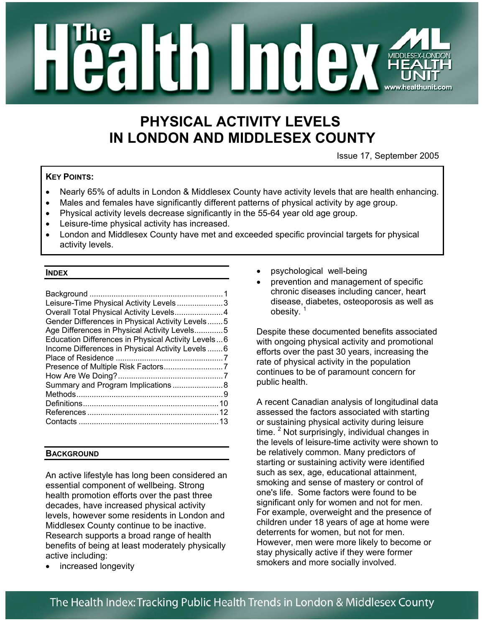

# **PHYSICAL ACTIVITY LEVELS IN LONDON AND MIDDLESEX COUNTY**

Issue 17, September 2005

### **KEY POINTS:**

- Nearly 65% of adults in London & Middlesex County have activity levels that are health enhancing.
- Males and females have significantly different patterns of physical activity by age group.
- Physical activity levels decrease significantly in the 55-64 year old age group.
- Leisure-time physical activity has increased.
- London and Middlesex County have met and exceeded specific provincial targets for physical activity levels.

#### **INDEX**

| Leisure-Time Physical Activity Levels3             |  |
|----------------------------------------------------|--|
| Overall Total Physical Activity Levels4            |  |
| Gender Differences in Physical Activity Levels5    |  |
| Age Differences in Physical Activity Levels5       |  |
| Education Differences in Physical Activity Levels6 |  |
| Income Differences in Physical Activity Levels  6  |  |
|                                                    |  |
|                                                    |  |
|                                                    |  |
| Summary and Program Implications 8                 |  |
|                                                    |  |
|                                                    |  |
|                                                    |  |
|                                                    |  |
|                                                    |  |

### **BACKGROUND**

An active lifestyle has long been considered an essential component of wellbeing. Strong health promotion efforts over the past three decades, have increased physical activity levels, however some residents in London and Middlesex County continue to be inactive. Research supports a broad range of health benefits of being at least moderately physically active including:

increased longevity

- psychological well-being
- prevention and management of specific chronic diseases including cancer, heart disease, diabetes, osteoporosis as well as obesity.<sup>1</sup>

Despite these documented benefits associated with ongoing physical activity and promotional efforts over the past 30 years, increasing the rate of physical activity in the population continues to be of paramount concern for public health.

A recent Canadian analysis of longitudinal data assessed the factors associated with starting or sustaining physical activity during leisure time. <sup>2</sup> Not surprisingly, individual changes in the levels of leisure-time activity were shown to be relatively common. Many predictors of starting or sustaining activity were identified such as sex, age, educational attainment, smoking and sense of mastery or control of one's life. Some factors were found to be significant only for women and not for men. For example, overweight and the presence of children under 18 years of age at home were deterrents for women, but not for men. However, men were more likely to become or stay physically active if they were former smokers and more socially involved.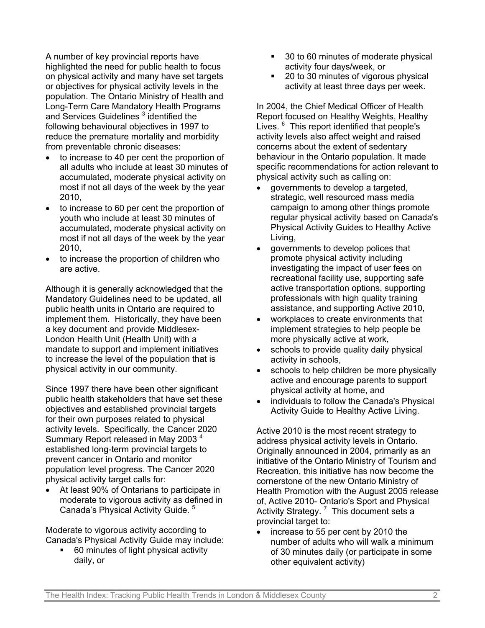A number of key provincial reports have highlighted the need for public health to focus on physical activity and many have set targets or objectives for physical activity levels in the population. The Ontario Ministry of Health and Long-Term Care Mandatory Health Programs and Services Guidelines<sup>3</sup> identified the following behavioural objectives in 1997 to reduce the premature mortality and morbidity from preventable chronic diseases:

- to increase to 40 per cent the proportion of all adults who include at least 30 minutes of accumulated, moderate physical activity on most if not all days of the week by the year 2010,
- to increase to 60 per cent the proportion of youth who include at least 30 minutes of accumulated, moderate physical activity on most if not all days of the week by the year 2010,
- to increase the proportion of children who are active.

Although it is generally acknowledged that the Mandatory Guidelines need to be updated, all public health units in Ontario are required to implement them. Historically, they have been a key document and provide Middlesex-London Health Unit (Health Unit) with a mandate to support and implement initiatives to increase the level of the population that is physical activity in our community.

Since 1997 there have been other significant public health stakeholders that have set these objectives and established provincial targets for their own purposes related to physical activity levels. Specifically, the Cancer 2020 Summary Report released in May 2003<sup>4</sup> established long-term provincial targets to prevent cancer in Ontario and monitor population level progress. The Cancer 2020 physical activity target calls for:

• At least 90% of Ontarians to participate in moderate to vigorous activity as defined in Canada's Physical Activity Guide. <sup>5</sup>

Moderate to vigorous activity according to Canada's Physical Activity Guide may include:

 60 minutes of light physical activity daily, or

- 30 to 60 minutes of moderate physical activity four days/week, or
- 20 to 30 minutes of vigorous physical activity at least three days per week.

In 2004, the Chief Medical Officer of Health Report focused on Healthy Weights, Healthy Lives. <sup>6</sup> This report identified that people's activity levels also affect weight and raised concerns about the extent of sedentary behaviour in the Ontario population. It made specific recommendations for action relevant to physical activity such as calling on:

- governments to develop a targeted, strategic, well resourced mass media campaign to among other things promote regular physical activity based on Canada's Physical Activity Guides to Healthy Active Living,
- governments to develop polices that promote physical activity including investigating the impact of user fees on recreational facility use, supporting safe active transportation options, supporting professionals with high quality training assistance, and supporting Active 2010,
- workplaces to create environments that implement strategies to help people be more physically active at work,
- schools to provide quality daily physical activity in schools,
- schools to help children be more physically active and encourage parents to support physical activity at home, and
- individuals to follow the Canada's Physical Activity Guide to Healthy Active Living.

Active 2010 is the most recent strategy to address physical activity levels in Ontario. Originally announced in 2004, primarily as an initiative of the Ontario Ministry of Tourism and Recreation, this initiative has now become the cornerstone of the new Ontario Ministry of Health Promotion with the August 2005 release of, Active 2010- Ontario's Sport and Physical Activity Strategy.<sup>7</sup> This document sets a provincial target to:

• increase to 55 per cent by 2010 the number of adults who will walk a minimum of 30 minutes daily (or participate in some other equivalent activity)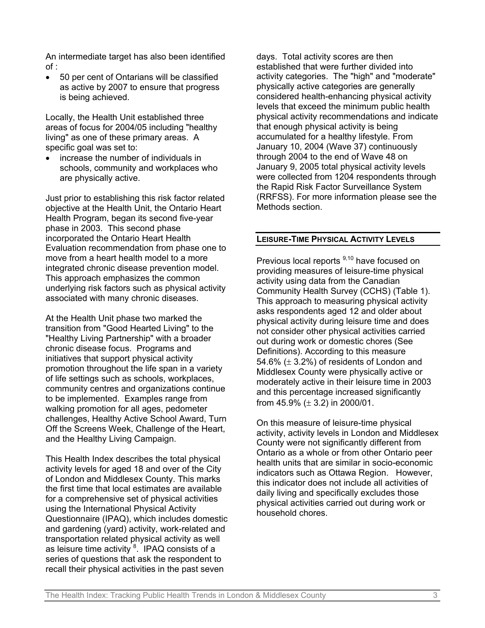An intermediate target has also been identified of :

• 50 per cent of Ontarians will be classified as active by 2007 to ensure that progress is being achieved.

Locally, the Health Unit established three areas of focus for 2004/05 including "healthy living" as one of these primary areas. A specific goal was set to:

• increase the number of individuals in schools, community and workplaces who are physically active.

Just prior to establishing this risk factor related objective at the Health Unit, the Ontario Heart Health Program, began its second five-year phase in 2003. This second phase incorporated the Ontario Heart Health Evaluation recommendation from phase one to move from a heart health model to a more integrated chronic disease prevention model. This approach emphasizes the common underlying risk factors such as physical activity associated with many chronic diseases.

At the Health Unit phase two marked the transition from "Good Hearted Living" to the "Healthy Living Partnership" with a broader chronic disease focus. Programs and initiatives that support physical activity promotion throughout the life span in a variety of life settings such as schools, workplaces, community centres and organizations continue to be implemented. Examples range from walking promotion for all ages, pedometer challenges, Healthy Active School Award, Turn Off the Screens Week, Challenge of the Heart, and the Healthy Living Campaign.

This Health Index describes the total physical activity levels for aged 18 and over of the City of London and Middlesex County. This marks the first time that local estimates are available for a comprehensive set of physical activities using the International Physical Activity Questionnaire (IPAQ), which includes domestic and gardening (yard) activity, work-related and transportation related physical activity as well as leisure time activity  $8$ . IPAQ consists of a series of questions that ask the respondent to recall their physical activities in the past seven

days. Total activity scores are then established that were further divided into activity categories. The "high" and "moderate" physically active categories are generally considered health-enhancing physical activity levels that exceed the minimum public health physical activity recommendations and indicate that enough physical activity is being accumulated for a healthy lifestyle. From January 10, 2004 (Wave 37) continuously through 2004 to the end of Wave 48 on January 9, 2005 total physical activity levels were collected from 1204 respondents through the Rapid Risk Factor Surveillance System (RRFSS). For more information please see the Methods section.

#### **LEISURE-TIME PHYSICAL ACTIVITY LEVELS**

Previous local reports <sup>9,10</sup> have focused on providing measures of leisure-time physical activity using data from the Canadian Community Health Survey (CCHS) (Table 1). This approach to measuring physical activity asks respondents aged 12 and older about physical activity during leisure time and does not consider other physical activities carried out during work or domestic chores (See Definitions). According to this measure 54.6%  $(\pm 3.2\%)$  of residents of London and Middlesex County were physically active or moderately active in their leisure time in 2003 and this percentage increased significantly from  $45.9\%$  ( $\pm$  3.2) in 2000/01.

On this measure of leisure-time physical activity, activity levels in London and Middlesex County were not significantly different from Ontario as a whole or from other Ontario peer health units that are similar in socio-economic indicators such as Ottawa Region. However, this indicator does not include all activities of daily living and specifically excludes those physical activities carried out during work or household chores.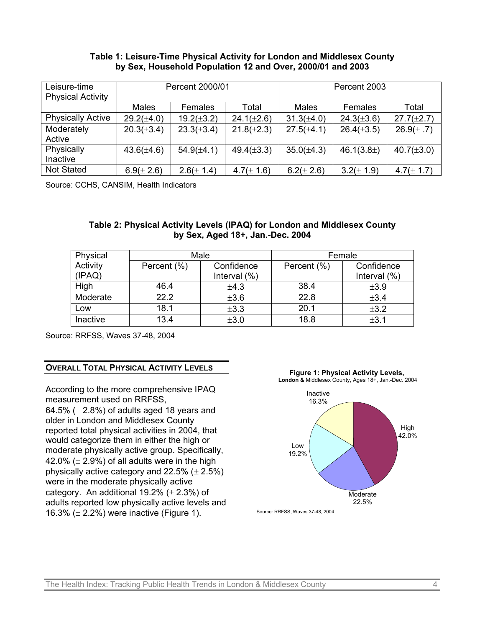#### **Table 1: Leisure-Time Physical Activity for London and Middlesex County by Sex, Household Population 12 and Over, 2000/01 and 2003**

| Leisure-time<br><b>Physical Activity</b> | Percent 2000/01 |                 | Percent 2003    |                 |                 |                 |
|------------------------------------------|-----------------|-----------------|-----------------|-----------------|-----------------|-----------------|
|                                          | <b>Males</b>    | Females         | Total           | Males           | Females         | Total           |
| <b>Physically Active</b>                 | $29.2(\pm 4.0)$ | $19.2(\pm 3.2)$ | $24.1(\pm 2.6)$ | $31.3(\pm 4.0)$ | $24.3(\pm 3.6)$ | $27.7(\pm 2.7)$ |
| Moderately<br>Active                     | $20.3(\pm 3.4)$ | $23.3(\pm 3.4)$ | $21.8(\pm 2.3)$ | $27.5(\pm 4.1)$ | $26.4(\pm 3.5)$ | $26.9(\pm .7)$  |
| Physically                               | $43.6(\pm 4.6)$ | $54.9(\pm 4.1)$ | $49.4(\pm 3.3)$ | $35.0(\pm 4.3)$ | 46.1(3.8)       | $40.7(\pm 3.0)$ |
| Inactive                                 |                 |                 |                 |                 |                 |                 |
| <b>Not Stated</b>                        | $6.9 (\pm 2.6)$ | $2.6(\pm 1.4)$  | $4.7(\pm 1.6)$  | $6.2(\pm 2.6)$  | $3.2(\pm 1.9)$  | $4.7(\pm 1.7)$  |

Source: CCHS, CANSIM, Health Indicators

### **Table 2: Physical Activity Levels (IPAQ) for London and Middlesex County by Sex, Aged 18+, Jan.-Dec. 2004**

| Physical |             | Male            | Female      |                 |  |
|----------|-------------|-----------------|-------------|-----------------|--|
| Activity | Percent (%) | Confidence      | Percent (%) | Confidence      |  |
| (IPAQ)   |             | Interval $(\%)$ |             | Interval $(\%)$ |  |
| High     | 46.4        | ±4.3            | 38.4        | ±3.9            |  |
| Moderate | 22.2        | ±3.6            | 22.8        | ±3.4            |  |
| Low      | 18.1        | ±3.3            | 20.1        | ±3.2            |  |
| Inactive | 13.4        | ±3.0            | 18.8        | ±3.1            |  |

Source: RRFSS, Waves 37-48, 2004

### **OVERALL TOTAL PHYSICAL ACTIVITY LEVELS**

According to the more comprehensive IPAQ measurement used on RRFSS, 64.5%  $(\pm 2.8\%)$  of adults aged 18 years and older in London and Middlesex County reported total physical activities in 2004, that would categorize them in either the high or moderate physically active group. Specifically, 42.0%  $(\pm 2.9\%)$  of all adults were in the high physically active category and  $22.5\%$  ( $\pm 2.5\%$ ) were in the moderate physically active category. An additional  $19.2\%$  ( $\pm$  2.3%) of adults reported low physically active levels and 16.3%  $(\pm 2.2\%)$  were inactive (Figure 1).



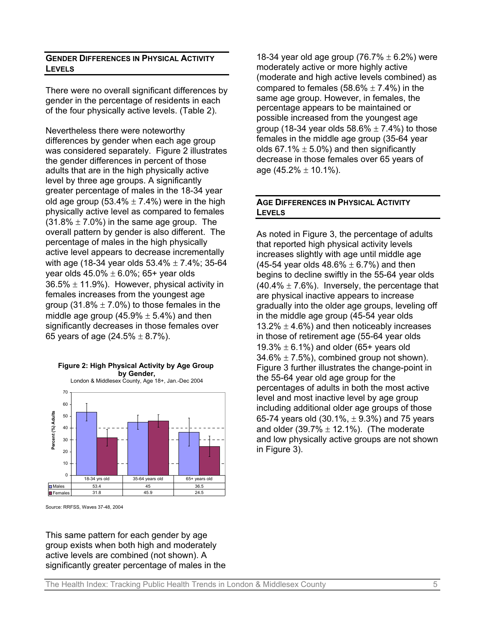#### **GENDER DIFFERENCES IN PHYSICAL ACTIVITY LEVELS**

There were no overall significant differences by gender in the percentage of residents in each of the four physically active levels. (Table 2).

Nevertheless there were noteworthy differences by gender when each age group was considered separately. Figure 2 illustrates the gender differences in percent of those adults that are in the high physically active level by three age groups. A significantly greater percentage of males in the 18-34 year old age group (53.4%  $\pm$  7.4%) were in the high physically active level as compared to females  $(31.8\% \pm 7.0\%)$  in the same age group. The overall pattern by gender is also different. The percentage of males in the high physically active level appears to decrease incrementally with age (18-34 year olds  $53.4\% \pm 7.4\%$ ; 35-64 year olds  $45.0\% \pm 6.0\%$ ; 65+ year olds  $36.5\% \pm 11.9\%$ ). However, physical activity in females increases from the youngest age group (31.8%  $\pm$  7.0%) to those females in the middle age group  $(45.9\% \pm 5.4\%)$  and then significantly decreases in those females over 65 years of age  $(24.5\% \pm 8.7\%)$ .



Source: RRFSS, Waves 37-48, 2004

This same pattern for each gender by age group exists when both high and moderately active levels are combined (not shown). A significantly greater percentage of males in the

18-34 year old age group (76.7%  $\pm$  6.2%) were moderately active or more highly active (moderate and high active levels combined) as compared to females  $(58.6\% \pm 7.4\%)$  in the same age group. However, in females, the percentage appears to be maintained or possible increased from the youngest age group (18-34 year olds  $58.6\% \pm 7.4\%$ ) to those females in the middle age group (35-64 year olds 67.1%  $\pm$  5.0%) and then significantly decrease in those females over 65 years of age  $(45.2\% \pm 10.1\%)$ .

### **AGE DIFFERENCES IN PHYSICAL ACTIVITY LEVELS**

As noted in Figure 3, the percentage of adults that reported high physical activity levels increases slightly with age until middle age (45-54 year olds  $48.6\% \pm 6.7\%$ ) and then begins to decline swiftly in the 55-64 year olds  $(40.4\% \pm 7.6\%)$ . Inversely, the percentage that are physical inactive appears to increase gradually into the older age groups, leveling off in the middle age group (45-54 year olds 13.2%  $\pm$  4.6%) and then noticeably increases in those of retirement age (55-64 year olds 19.3%  $\pm$  6.1%) and older (65+ years old  $34.6\% \pm 7.5\%$ , combined group not shown). Figure 3 further illustrates the change-point in the 55-64 year old age group for the percentages of adults in both the most active level and most inactive level by age group including additional older age groups of those 65-74 years old  $(30.1\%, \pm 9.3\%)$  and 75 years and older  $(39.7\% \pm 12.1\%)$ . (The moderate and low physically active groups are not shown in Figure 3).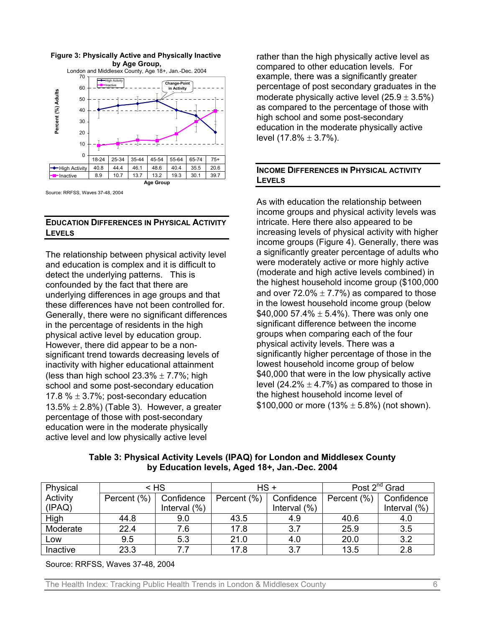

**Figure 3: Physically Active and Physically Inactive** 

Source: RRFSS, Waves 37-48, 2004

### **EDUCATION DIFFERENCES IN PHYSICAL ACTIVITY LEVELS**

The relationship between physical activity level and education is complex and it is difficult to detect the underlying patterns. This is confounded by the fact that there are underlying differences in age groups and that these differences have not been controlled for. Generally, there were no significant differences in the percentage of residents in the high physical active level by education group. However, there did appear to be a nonsignificant trend towards decreasing levels of inactivity with higher educational attainment (less than high school  $23.3\% \pm 7.7\%$ ; high school and some post-secondary education 17.8 %  $\pm$  3.7%; post-secondary education 13.5%  $\pm$  2.8%) (Table 3). However, a greater percentage of those with post-secondary education were in the moderate physically active level and low physically active level

rather than the high physically active level as compared to other education levels. For example, there was a significantly greater percentage of post secondary graduates in the moderate physically active level  $(25.9 \pm 3.5\%)$ as compared to the percentage of those with high school and some post-secondary education in the moderate physically active level  $(17.8\% \pm 3.7\%)$ .

### **INCOME DIFFERENCES IN PHYSICAL ACTIVITY LEVELS**

As with education the relationship between income groups and physical activity levels was intricate. Here there also appeared to be increasing levels of physical activity with higher income groups (Figure 4). Generally, there was a significantly greater percentage of adults who were moderately active or more highly active (moderate and high active levels combined) in the highest household income group (\$100,000 and over  $72.0\% \pm 7.7\%$ ) as compared to those in the lowest household income group (below \$40,000 57.4%  $\pm$  5.4%). There was only one significant difference between the income groups when comparing each of the four physical activity levels. There was a significantly higher percentage of those in the lowest household income group of below \$40,000 that were in the low physically active level (24.2%  $\pm$  4.7%) as compared to those in the highest household income level of \$100,000 or more  $(13% \pm 5.8%)$  (not shown).

| Table 3: Physical Activity Levels (IPAQ) for London and Middlesex County |
|--------------------------------------------------------------------------|
| by Education levels, Aged 18+, Jan.-Dec. 2004                            |

| Physical | $<$ HS      |                 | HS+         |                 | Post 2 <sup>nd</sup> Grad |                 |
|----------|-------------|-----------------|-------------|-----------------|---------------------------|-----------------|
| Activity | Percent (%) | Confidence      | Percent (%) | Confidence      | Percent (%)               | Confidence      |
| (IPAQ)   |             | Interval $(\%)$ |             | Interval $(\%)$ |                           | Interval $(\%)$ |
| High     | 44.8        | 9.0             | 43.5        | 4.9             | 40.6                      | 4.0             |
| Moderate | 22.4        | 7.6             | 17.8        | 3.7             | 25.9                      | 3.5             |
| Low      | 9.5         | 5.3             | 21.0        | 4.0             | 20.0                      | 3.2             |
| Inactive | 23.3        | 77              | 17.8        | 3.7             | 13.5                      | 2.8             |

Source: RRFSS, Waves 37-48, 2004

The Health Index: Tracking Public Health Trends in London & Middlesex County 6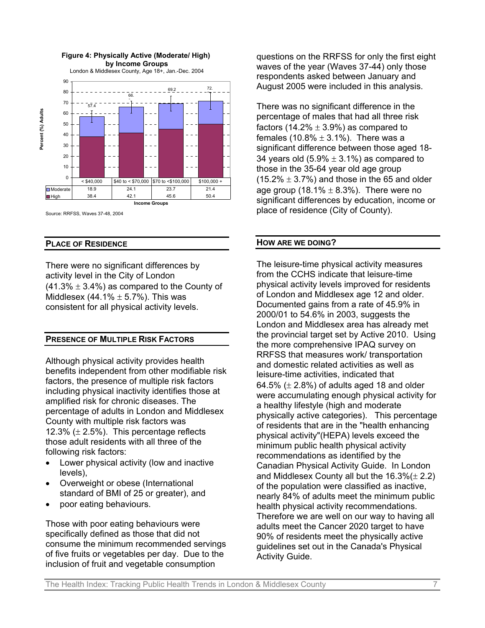

#### Source: RRFSS, Waves 37-48, 2004

#### **PLACE OF RESIDENCE**

There were no significant differences by activity level in the City of London  $(41.3\% \pm 3.4\%)$  as compared to the County of Middlesex  $(44.1\% \pm 5.7\%)$ . This was consistent for all physical activity levels.

#### **PRESENCE OF MULTIPLE RISK FACTORS**

Although physical activity provides health benefits independent from other modifiable risk factors, the presence of multiple risk factors including physical inactivity identifies those at amplified risk for chronic diseases. The percentage of adults in London and Middlesex County with multiple risk factors was 12.3%  $(\pm 2.5\%)$ . This percentage reflects those adult residents with all three of the following risk factors:

- Lower physical activity (low and inactive levels),
- Overweight or obese (International standard of BMI of 25 or greater), and
- poor eating behaviours.

Those with poor eating behaviours were specifically defined as those that did not consume the minimum recommended servings of five fruits or vegetables per day. Due to the inclusion of fruit and vegetable consumption

questions on the RRFSS for only the first eight waves of the year (Waves 37-44) only those respondents asked between January and August 2005 were included in this analysis.

There was no significant difference in the percentage of males that had all three risk factors (14.2%  $\pm$  3.9%) as compared to females  $(10.8\% \pm 3.1\%)$ . There was a significant difference between those aged 18- 34 years old  $(5.9\% \pm 3.1\%)$  as compared to those in the 35-64 year old age group  $(15.2\% \pm 3.7\%)$  and those in the 65 and older age group (18.1%  $\pm$  8.3%). There were no significant differences by education, income or place of residence (City of County).

#### **HOW ARE WE DOING?**

The leisure-time physical activity measures from the CCHS indicate that leisure-time physical activity levels improved for residents of London and Middlesex age 12 and older. Documented gains from a rate of 45.9% in 2000/01 to 54.6% in 2003, suggests the London and Middlesex area has already met the provincial target set by Active 2010. Using the more comprehensive IPAQ survey on RRFSS that measures work/ transportation and domestic related activities as well as leisure-time activities, indicated that 64.5%  $(\pm 2.8\%)$  of adults aged 18 and older were accumulating enough physical activity for a healthy lifestyle (high and moderate physically active categories). This percentage of residents that are in the "health enhancing physical activity"(HEPA) levels exceed the minimum public health physical activity recommendations as identified by the Canadian Physical Activity Guide. In London and Middlesex County all but the  $16.3\%(\pm 2.2)$ of the population were classified as inactive, nearly 84% of adults meet the minimum public health physical activity recommendations. Therefore we are well on our way to having all adults meet the Cancer 2020 target to have 90% of residents meet the physically active guidelines set out in the Canada's Physical Activity Guide.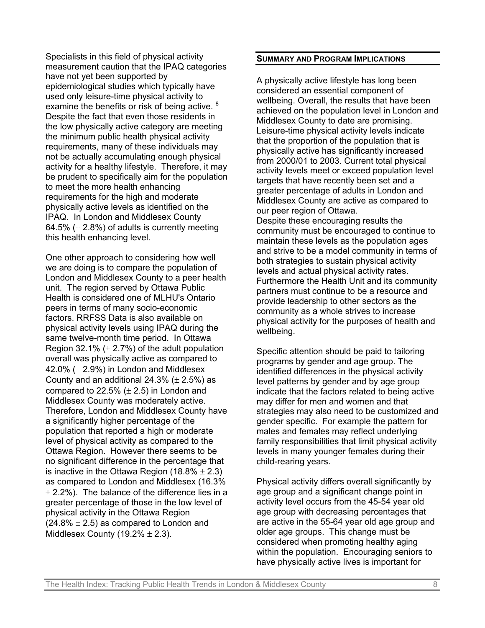Specialists in this field of physical activity measurement caution that the IPAQ categories have not yet been supported by epidemiological studies which typically have used only leisure-time physical activity to examine the benefits or risk of being active. <sup>8</sup> Despite the fact that even those residents in the low physically active category are meeting the minimum public health physical activity requirements, many of these individuals may not be actually accumulating enough physical activity for a healthy lifestyle. Therefore, it may be prudent to specifically aim for the population to meet the more health enhancing requirements for the high and moderate physically active levels as identified on the IPAQ. In London and Middlesex County 64.5%  $(\pm 2.8\%)$  of adults is currently meeting this health enhancing level.

One other approach to considering how well we are doing is to compare the population of London and Middlesex County to a peer health unit. The region served by Ottawa Public Health is considered one of MLHU's Ontario peers in terms of many socio-economic factors. RRFSS Data is also available on physical activity levels using IPAQ during the same twelve-month time period. In Ottawa Region 32.1%  $(\pm 2.7%)$  of the adult population overall was physically active as compared to 42.0%  $(\pm 2.9\%)$  in London and Middlesex County and an additional 24.3%  $(\pm 2.5\%)$  as compared to 22.5%  $(\pm 2.5)$  in London and Middlesex County was moderately active. Therefore, London and Middlesex County have a significantly higher percentage of the population that reported a high or moderate level of physical activity as compared to the Ottawa Region. However there seems to be no significant difference in the percentage that is inactive in the Ottawa Region (18.8%  $\pm$  2.3) as compared to London and Middlesex (16.3%  $\pm$  2.2%). The balance of the difference lies in a greater percentage of those in the low level of physical activity in the Ottawa Region  $(24.8\% \pm 2.5)$  as compared to London and Middlesex County (19.2%  $\pm$  2.3).

#### **SUMMARY AND PROGRAM IMPLICATIONS**

A physically active lifestyle has long been considered an essential component of wellbeing. Overall, the results that have been achieved on the population level in London and Middlesex County to date are promising. Leisure-time physical activity levels indicate that the proportion of the population that is physically active has significantly increased from 2000/01 to 2003. Current total physical activity levels meet or exceed population level targets that have recently been set and a greater percentage of adults in London and Middlesex County are active as compared to our peer region of Ottawa. Despite these encouraging results the community must be encouraged to continue to maintain these levels as the population ages and strive to be a model community in terms of both strategies to sustain physical activity levels and actual physical activity rates. Furthermore the Health Unit and its community partners must continue to be a resource and provide leadership to other sectors as the community as a whole strives to increase physical activity for the purposes of health and wellbeing.

Specific attention should be paid to tailoring programs by gender and age group. The identified differences in the physical activity level patterns by gender and by age group indicate that the factors related to being active may differ for men and women and that strategies may also need to be customized and gender specific. For example the pattern for males and females may reflect underlying family responsibilities that limit physical activity levels in many younger females during their child-rearing years.

Physical activity differs overall significantly by age group and a significant change point in activity level occurs from the 45-54 year old age group with decreasing percentages that are active in the 55-64 year old age group and older age groups. This change must be considered when promoting healthy aging within the population. Encouraging seniors to have physically active lives is important for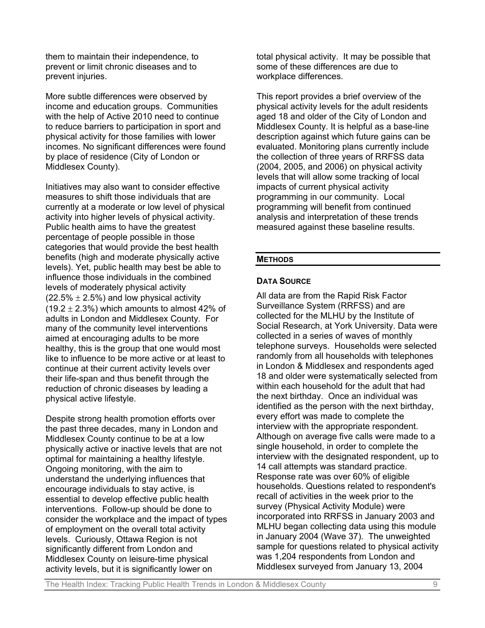them to maintain their independence, to prevent or limit chronic diseases and to prevent injuries.

More subtle differences were observed by income and education groups. Communities with the help of Active 2010 need to continue to reduce barriers to participation in sport and physical activity for those families with lower incomes. No significant differences were found by place of residence (City of London or Middlesex County).

Initiatives may also want to consider effective measures to shift those individuals that are currently at a moderate or low level of physical activity into higher levels of physical activity. Public health aims to have the greatest percentage of people possible in those categories that would provide the best health benefits (high and moderate physically active levels). Yet, public health may best be able to influence those individuals in the combined levels of moderately physical activity  $(22.5\% \pm 2.5\%)$  and low physical activity (19.2  $\pm$  2.3%) which amounts to almost 42% of adults in London and Middlesex County. For many of the community level interventions aimed at encouraging adults to be more healthy, this is the group that one would most like to influence to be more active or at least to continue at their current activity levels over their life-span and thus benefit through the reduction of chronic diseases by leading a physical active lifestyle.

Despite strong health promotion efforts over the past three decades, many in London and Middlesex County continue to be at a low physically active or inactive levels that are not optimal for maintaining a healthy lifestyle. Ongoing monitoring, with the aim to understand the underlying influences that encourage individuals to stay active, is essential to develop effective public health interventions. Follow-up should be done to consider the workplace and the impact of types of employment on the overall total activity levels. Curiously, Ottawa Region is not significantly different from London and Middlesex County on leisure-time physical activity levels, but it is significantly lower on

total physical activity. It may be possible that some of these differences are due to workplace differences.

This report provides a brief overview of the physical activity levels for the adult residents aged 18 and older of the City of London and Middlesex County. It is helpful as a base-line description against which future gains can be evaluated. Monitoring plans currently include the collection of three years of RRFSS data (2004, 2005, and 2006) on physical activity levels that will allow some tracking of local impacts of current physical activity programming in our community. Local programming will benefit from continued analysis and interpretation of these trends measured against these baseline results.

### **METHODS**

### **DATA SOURCE**

All data are from the Rapid Risk Factor Surveillance System (RRFSS) and are collected for the MLHU by the Institute of Social Research, at York University. Data were collected in a series of waves of monthly telephone surveys. Households were selected randomly from all households with telephones in London & Middlesex and respondents aged 18 and older were systematically selected from within each household for the adult that had the next birthday. Once an individual was identified as the person with the next birthday, every effort was made to complete the interview with the appropriate respondent. Although on average five calls were made to a single household, in order to complete the interview with the designated respondent, up to 14 call attempts was standard practice. Response rate was over 60% of eligible households. Questions related to respondent's recall of activities in the week prior to the survey (Physical Activity Module) were incorporated into RRFSS in January 2003 and MLHU began collecting data using this module in January 2004 (Wave 37). The unweighted sample for questions related to physical activity was 1,204 respondents from London and Middlesex surveyed from January 13, 2004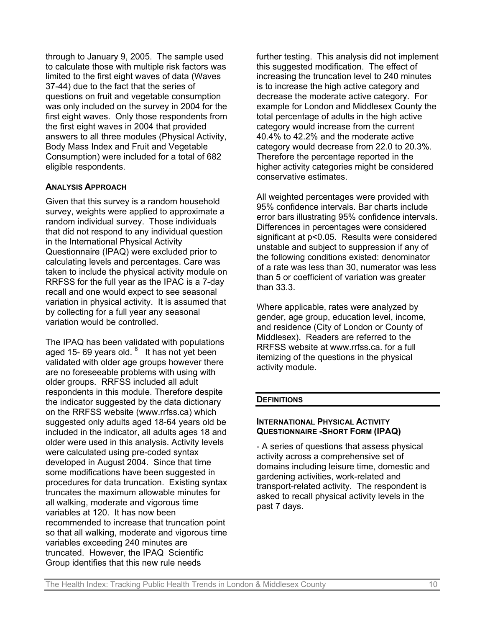through to January 9, 2005. The sample used to calculate those with multiple risk factors was limited to the first eight waves of data (Waves 37-44) due to the fact that the series of questions on fruit and vegetable consumption was only included on the survey in 2004 for the first eight waves. Only those respondents from the first eight waves in 2004 that provided answers to all three modules (Physical Activity, Body Mass Index and Fruit and Vegetable Consumption) were included for a total of 682 eligible respondents.

### **ANALYSIS APPROACH**

Given that this survey is a random household survey, weights were applied to approximate a random individual survey. Those individuals that did not respond to any individual question in the International Physical Activity Questionnaire (IPAQ) were excluded prior to calculating levels and percentages. Care was taken to include the physical activity module on RRFSS for the full year as the IPAC is a 7-day recall and one would expect to see seasonal variation in physical activity. It is assumed that by collecting for a full year any seasonal variation would be controlled.

The IPAQ has been validated with populations aged 15- 69 years old. <sup>8</sup> It has not yet been validated with older age groups however there are no foreseeable problems with using with older groups. RRFSS included all adult respondents in this module. Therefore despite the indicator suggested by the data dictionary on the RRFSS website (www.rrfss.ca) which suggested only adults aged 18-64 years old be included in the indicator, all adults ages 18 and older were used in this analysis. Activity levels were calculated using pre-coded syntax developed in August 2004. Since that time some modifications have been suggested in procedures for data truncation. Existing syntax truncates the maximum allowable minutes for all walking, moderate and vigorous time variables at 120. It has now been recommended to increase that truncation point so that all walking, moderate and vigorous time variables exceeding 240 minutes are truncated. However, the IPAQ Scientific Group identifies that this new rule needs

further testing. This analysis did not implement this suggested modification. The effect of increasing the truncation level to 240 minutes is to increase the high active category and decrease the moderate active category. For example for London and Middlesex County the total percentage of adults in the high active category would increase from the current 40.4% to 42.2% and the moderate active category would decrease from 22.0 to 20.3%. Therefore the percentage reported in the higher activity categories might be considered conservative estimates.

All weighted percentages were provided with 95% confidence intervals. Bar charts include error bars illustrating 95% confidence intervals. Differences in percentages were considered significant at p<0.05. Results were considered unstable and subject to suppression if any of the following conditions existed: denominator of a rate was less than 30, numerator was less than 5 or coefficient of variation was greater than 33.3.

Where applicable, rates were analyzed by gender, age group, education level, income, and residence (City of London or County of Middlesex). Readers are referred to the RRFSS website at www.rrfss.ca. for a full itemizing of the questions in the physical activity module.

### **DEFINITIONS**

#### **INTERNATIONAL PHYSICAL ACTIVITY QUESTIONNAIRE -SHORT FORM (IPAQ)**

- A series of questions that assess physical activity across a comprehensive set of domains including leisure time, domestic and gardening activities, work-related and transport-related activity. The respondent is asked to recall physical activity levels in the past 7 days.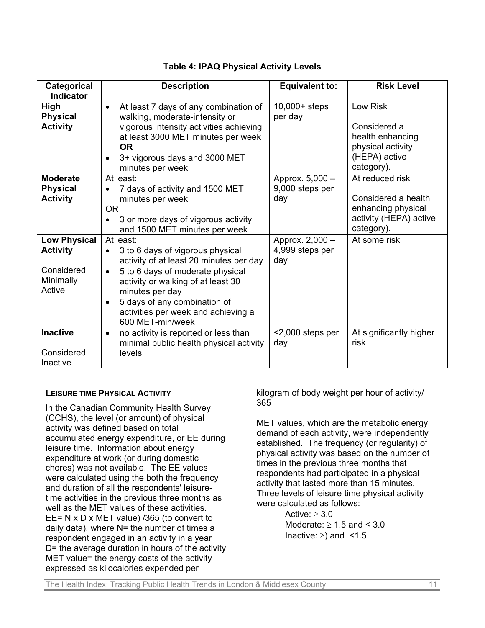| Categorical                                                                 | <b>Description</b>                                                                                                                                                                                                                                                                                                                                       | <b>Equivalent to:</b>                     | <b>Risk Level</b>                                                                                    |
|-----------------------------------------------------------------------------|----------------------------------------------------------------------------------------------------------------------------------------------------------------------------------------------------------------------------------------------------------------------------------------------------------------------------------------------------------|-------------------------------------------|------------------------------------------------------------------------------------------------------|
| <b>Indicator</b>                                                            |                                                                                                                                                                                                                                                                                                                                                          |                                           |                                                                                                      |
| High<br><b>Physical</b><br><b>Activity</b>                                  | At least 7 days of any combination of<br>$\bullet$<br>walking, moderate-intensity or<br>vigorous intensity activities achieving<br>at least 3000 MET minutes per week<br><b>OR</b><br>3+ vigorous days and 3000 MET<br>minutes per week                                                                                                                  | $10,000+$ steps<br>per day                | Low Risk<br>Considered a<br>health enhancing<br>physical activity<br>(HEPA) active<br>category).     |
| <b>Moderate</b><br><b>Physical</b><br><b>Activity</b>                       | At least:<br>7 days of activity and 1500 MET<br>minutes per week<br><b>OR</b><br>3 or more days of vigorous activity                                                                                                                                                                                                                                     | Approx. 5,000 -<br>9,000 steps per<br>day | At reduced risk<br>Considered a health<br>enhancing physical<br>activity (HEPA) active<br>category). |
| <b>Low Physical</b><br><b>Activity</b><br>Considered<br>Minimally<br>Active | and 1500 MET minutes per week<br>At least:<br>3 to 6 days of vigorous physical<br>$\bullet$<br>activity of at least 20 minutes per day<br>5 to 6 days of moderate physical<br>$\bullet$<br>activity or walking of at least 30<br>minutes per day<br>5 days of any combination of<br>$\bullet$<br>activities per week and achieving a<br>600 MET-min/week | Approx. 2,000 -<br>4,999 steps per<br>day | At some risk                                                                                         |
| <b>Inactive</b><br>Considered<br>Inactive                                   | no activity is reported or less than<br>$\bullet$<br>minimal public health physical activity<br>levels                                                                                                                                                                                                                                                   | $<$ 2,000 steps per<br>day                | At significantly higher<br>risk                                                                      |

# **Table 4: IPAQ Physical Activity Levels**

#### **LEISURE TIME PHYSICAL ACTIVITY**

In the Canadian Community Health Survey (CCHS), the level (or amount) of physical activity was defined based on total accumulated energy expenditure, or EE during leisure time. Information about energy expenditure at work (or during domestic chores) was not available. The EE values were calculated using the both the frequency and duration of all the respondents' leisuretime activities in the previous three months as well as the MET values of these activities. EE= N x D x MET value) /365 (to convert to daily data), where  $N=$  the number of times a respondent engaged in an activity in a year D= the average duration in hours of the activity MET value= the energy costs of the activity expressed as kilocalories expended per

kilogram of body weight per hour of activity/ 365

MET values, which are the metabolic energy demand of each activity, were independently established. The frequency (or regularity) of physical activity was based on the number of times in the previous three months that respondents had participated in a physical activity that lasted more than 15 minutes. Three levels of leisure time physical activity were calculated as follows:

> Active:  $> 3.0$ Moderate:  $\geq 1.5$  and  $\leq 3.0$ Inactive:  $\geq$ ) and <1.5

The Health Index: Tracking Public Health Trends in London & Middlesex County 11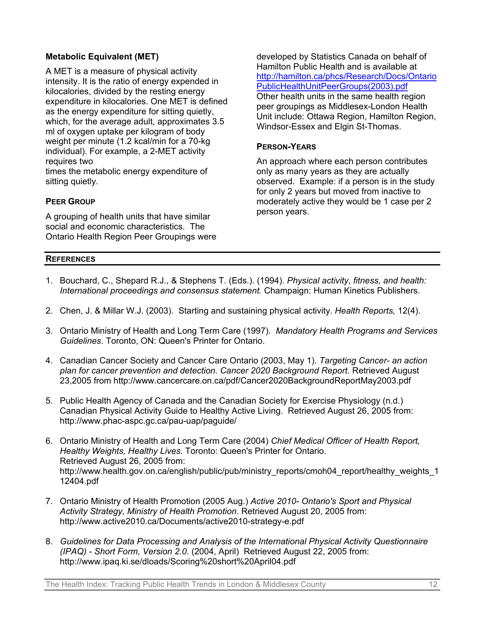# **Metabolic Equivalent (MET)**

A MET is a measure of physical activity intensity. It is the ratio of energy expended in kilocalories, divided by the resting energy expenditure in kilocalories. One MET is defined as the energy expenditure for sitting quietly, which, for the average adult, approximates 3.5 ml of oxygen uptake per kilogram of body weight per minute (1.2 kcal/min for a 70-kg individual). For example, a 2-MET activity requires two

times the metabolic energy expenditure of sitting quietly.

# **PEER GROUP**

A grouping of health units that have similar social and economic characteristics. The Ontario Health Region Peer Groupings were developed by Statistics Canada on behalf of Hamilton Public Health and is available at [http://hamilton.ca/phcs/Research/Docs/Ontario](http://hamilton.ca/phcs/Research/Docs/OntarioPublicHealthUnitPeerGroups(2003).pdf) [PublicHealthUnitPeerGroups\(2003\).pdf](http://hamilton.ca/phcs/Research/Docs/OntarioPublicHealthUnitPeerGroups(2003).pdf) Other health units in the same health region peer groupings as Middlesex-London Health Unit include: Ottawa Region, Hamilton Region, Windsor-Essex and Elgin St-Thomas.

### **PERSON-YEARS**

An approach where each person contributes only as many years as they are actually observed. Example: if a person is in the study for only 2 years but moved from inactive to moderately active they would be 1 case per 2 person years.

### **REFERENCES**

- 1. Bouchard, C., Shepard R.J., & Stephens T. (Eds.). (1994). *Physical activity, fitness, and health: International proceedings and consensus statement.* Champaign: Human Kinetics Publishers.
- 2. Chen, J. & Millar W.J. (2003). Starting and sustaining physical activity. *Health Reports,* 12(4).
- 3. Ontario Ministry of Health and Long Term Care (1997). *Mandatory Health Programs and Services Guidelines*. Toronto, ON: Queen's Printer for Ontario.
- 4. Canadian Cancer Society and Cancer Care Ontario (2003, May 1). *Targeting Cancer- an action plan for cancer prevention and detection. Cancer 2020 Background Report.* Retrieved August 23,2005 from <http://www.cancercare.on.ca/pdf/Cancer2020BackgroundReportMay2003.pdf>
- 5. Public Health Agency of Canada and the Canadian Society for Exercise Physiology (n.d.) Canadian Physical Activity Guide to Healthy Active Living. Retrieved August 26, 2005 from: http://www.phac-aspc.gc.ca/pau-uap/paguide/
- 6. Ontario Ministry of Health and Long Term Care (2004) *Chief Medical Officer of Health Report, Healthy Weights, Healthy Lives.* Toronto: Queen's Printer for Ontario. Retrieved August 26, 2005 from: http://www.health.gov.on.ca/english/public/pub/ministry\_reports/cmoh04\_report/healthy\_weights\_1 12404.pdf
- 7. Ontario Ministry of Health Promotion (2005 Aug.) *Active 2010- Ontario's Sport and Physical Activity Strategy, Ministry of Health Promotion*. Retrieved August 20, 2005 from: <http://www.active2010.ca/Documents/active2010-strategy-e.pdf>
- 8. *Guidelines for Data Processing and Analysis of the International Physical Activity Questionnaire (IPAQ) - Short Form, Version 2.0.* (2004, April) Retrieved August 22, 2005 from: [http://www.ipaq.ki.se/dloads/Scoring%20short%20April04.pdf](http://www.ipaq.ki.se/dloads/Scoring short April04.pdf)